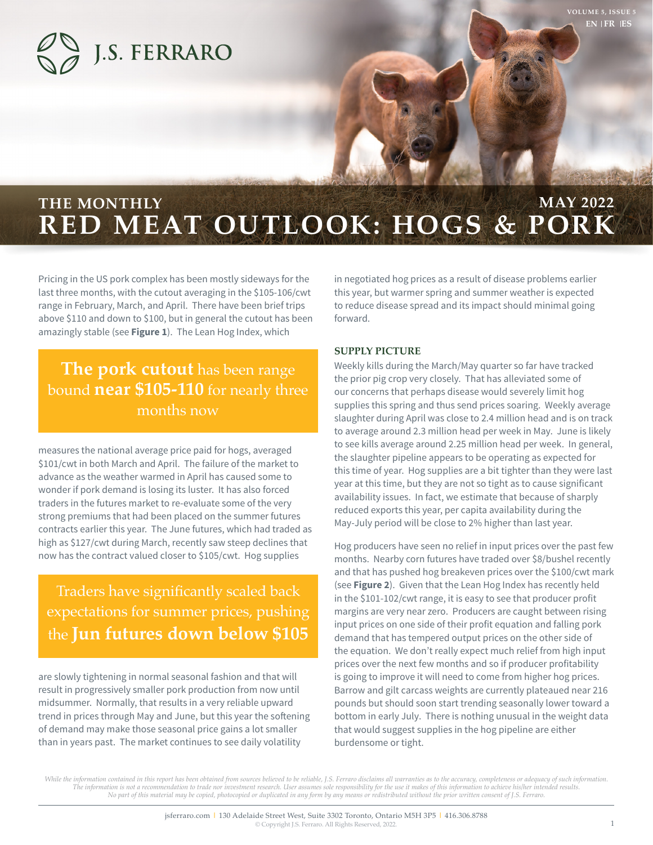

# **RED MEAT OUTLOOK: HOGS & PORK** THE MONTHLY **MAY 2022**

Pricing in the US pork complex has been mostly sideways for the last three months, with the cutout averaging in the \$105-106/cwt range in February, March, and April. There have been brief trips above \$110 and down to \$100, but in general the cutout has been amazingly stable (see **Figure 1**). The Lean Hog Index, which

## **The pork cutout** has been range bound **near \$105-110** for nearly three months now

measures the national average price paid for hogs, averaged \$101/cwt in both March and April. The failure of the market to advance as the weather warmed in April has caused some to wonder if pork demand is losing its luster. It has also forced traders in the futures market to re-evaluate some of the very strong premiums that had been placed on the summer futures contracts earlier this year. The June futures, which had traded as high as \$127/cwt during March, recently saw steep declines that now has the contract valued closer to \$105/cwt. Hog supplies

Traders have significantly scaled back expectations for summer prices, pushing the **Jun futures down below \$105**

are slowly tightening in normal seasonal fashion and that will result in progressively smaller pork production from now until midsummer. Normally, that results in a very reliable upward trend in prices through May and June, but this year the softening of demand may make those seasonal price gains a lot smaller than in years past. The market continues to see daily volatility

in negotiated hog prices as a result of disease problems earlier this year, but warmer spring and summer weather is expected to reduce disease spread and its impact should minimal going forward.

### **SUPPLY PICTURE**

Weekly kills during the March/May quarter so far have tracked the prior pig crop very closely. That has alleviated some of our concerns that perhaps disease would severely limit hog supplies this spring and thus send prices soaring. Weekly average slaughter during April was close to 2.4 million head and is on track to average around 2.3 million head per week in May. June is likely to see kills average around 2.25 million head per week. In general, the slaughter pipeline appears to be operating as expected for this time of year. Hog supplies are a bit tighter than they were last year at this time, but they are not so tight as to cause significant availability issues. In fact, we estimate that because of sharply reduced exports this year, per capita availability during the May-July period will be close to 2% higher than last year.

Hog producers have seen no relief in input prices over the past few months. Nearby corn futures have traded over \$8/bushel recently and that has pushed hog breakeven prices over the \$100/cwt mark (see **Figure 2**). Given that the Lean Hog Index has recently held in the \$101-102/cwt range, it is easy to see that producer profit margins are very near zero. Producers are caught between rising input prices on one side of their profit equation and falling pork demand that has tempered output prices on the other side of the equation. We don't really expect much relief from high input prices over the next few months and so if producer profitability is going to improve it will need to come from higher hog prices. Barrow and gilt carcass weights are currently plateaued near 216 pounds but should soon start trending seasonally lower toward a bottom in early July. There is nothing unusual in the weight data that would suggest supplies in the hog pipeline are either burdensome or tight.

While the information contained in this report has been obtained from sources believed to be reliable, J.S. Ferraro disclaims all warranties as to the accuracy, completeness or adequacy of such information. The information is not a recommendation to trade nor investment research. User assumes sole responsibility for the use it makes of this information to achieve his/her intended results.<br>No part of this material may be copie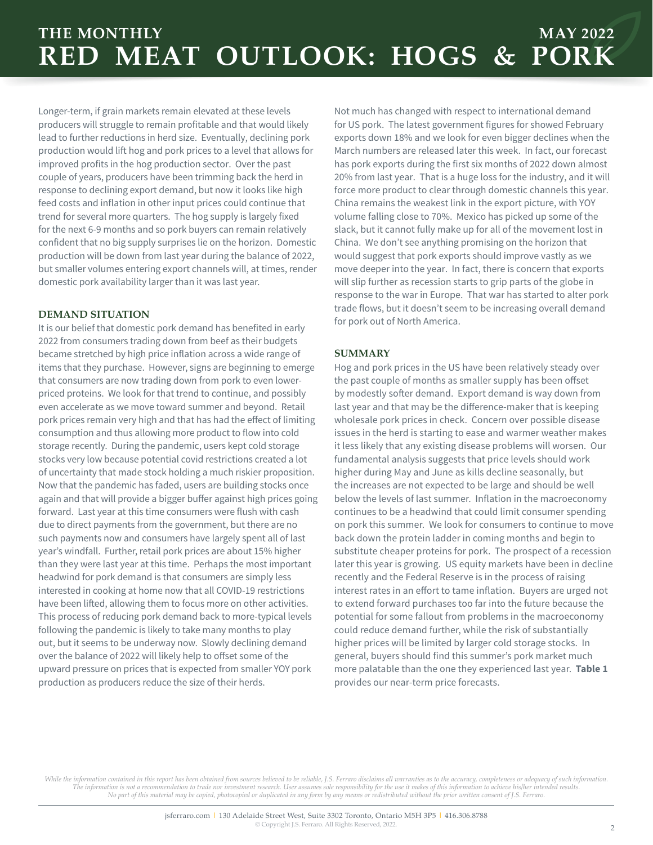### **THE MONTHLY RED MEAT OUTLOOK: HOGS & PORK MAY 2022**

Longer-term, if grain markets remain elevated at these levels producers will struggle to remain profitable and that would likely lead to further reductions in herd size. Eventually, declining pork production would lift hog and pork prices to a level that allows for improved profits in the hog production sector. Over the past couple of years, producers have been trimming back the herd in response to declining export demand, but now it looks like high feed costs and inflation in other input prices could continue that trend for several more quarters. The hog supply is largely fixed for the next 6-9 months and so pork buyers can remain relatively confident that no big supply surprises lie on the horizon. Domestic production will be down from last year during the balance of 2022, but smaller volumes entering export channels will, at times, render domestic pork availability larger than it was last year.

#### **DEMAND SITUATION**

It is our belief that domestic pork demand has benefited in early 2022 from consumers trading down from beef as their budgets became stretched by high price inflation across a wide range of items that they purchase. However, signs are beginning to emerge that consumers are now trading down from pork to even lowerpriced proteins. We look for that trend to continue, and possibly even accelerate as we move toward summer and beyond. Retail pork prices remain very high and that has had the effect of limiting consumption and thus allowing more product to flow into cold storage recently. During the pandemic, users kept cold storage stocks very low because potential covid restrictions created a lot of uncertainty that made stock holding a much riskier proposition. Now that the pandemic has faded, users are building stocks once again and that will provide a bigger buffer against high prices going forward. Last year at this time consumers were flush with cash due to direct payments from the government, but there are no such payments now and consumers have largely spent all of last year's windfall. Further, retail pork prices are about 15% higher than they were last year at this time. Perhaps the most important headwind for pork demand is that consumers are simply less interested in cooking at home now that all COVID-19 restrictions have been lifted, allowing them to focus more on other activities. This process of reducing pork demand back to more-typical levels following the pandemic is likely to take many months to play out, but it seems to be underway now. Slowly declining demand over the balance of 2022 will likely help to offset some of the upward pressure on prices that is expected from smaller YOY pork production as producers reduce the size of their herds.

Not much has changed with respect to international demand for US pork. The latest government figures for showed February exports down 18% and we look for even bigger declines when the March numbers are released later this week. In fact, our forecast has pork exports during the first six months of 2022 down almost 20% from last year. That is a huge loss for the industry, and it will force more product to clear through domestic channels this year. China remains the weakest link in the export picture, with YOY volume falling close to 70%. Mexico has picked up some of the slack, but it cannot fully make up for all of the movement lost in China. We don't see anything promising on the horizon that would suggest that pork exports should improve vastly as we move deeper into the year. In fact, there is concern that exports will slip further as recession starts to grip parts of the globe in response to the war in Europe. That war has started to alter pork trade flows, but it doesn't seem to be increasing overall demand for pork out of North America.

### **SUMMARY**

Hog and pork prices in the US have been relatively steady over the past couple of months as smaller supply has been offset by modestly softer demand. Export demand is way down from last year and that may be the difference-maker that is keeping wholesale pork prices in check. Concern over possible disease issues in the herd is starting to ease and warmer weather makes it less likely that any existing disease problems will worsen. Our fundamental analysis suggests that price levels should work higher during May and June as kills decline seasonally, but the increases are not expected to be large and should be well below the levels of last summer. Inflation in the macroeconomy continues to be a headwind that could limit consumer spending on pork this summer. We look for consumers to continue to move back down the protein ladder in coming months and begin to substitute cheaper proteins for pork. The prospect of a recession later this year is growing. US equity markets have been in decline recently and the Federal Reserve is in the process of raising interest rates in an effort to tame inflation. Buyers are urged not to extend forward purchases too far into the future because the potential for some fallout from problems in the macroeconomy could reduce demand further, while the risk of substantially higher prices will be limited by larger cold storage stocks. In general, buyers should find this summer's pork market much more palatable than the one they experienced last year. **Table 1** provides our near-term price forecasts.

*While the information contained in this report has been obtained from sources believed to be reliable, J.S. Ferraro disclaims all warranties as to the accuracy, completeness or adequacy of such information. The information is not a recommendation to trade nor investment research. User assumes sole responsibility for the use it makes of this information to achieve his/her intended results. No part of this material may be copied, photocopied or duplicated in any form by any means or redistributed without the prior written consent of J.S. Ferraro.*